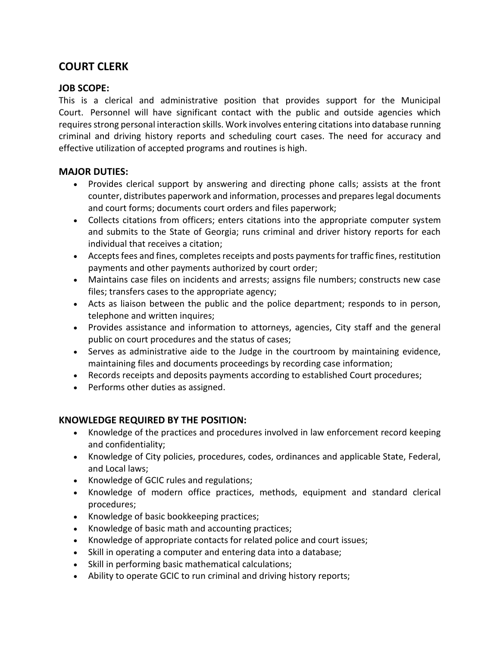# **COURT CLERK**

## **JOB SCOPE:**

This is a clerical and administrative position that provides support for the Municipal Court. Personnel will have significant contact with the public and outside agencies which requires strong personal interaction skills. Work involves entering citations into database running criminal and driving history reports and scheduling court cases. The need for accuracy and effective utilization of accepted programs and routines is high.

# **MAJOR DUTIES:**

- Provides clerical support by answering and directing phone calls; assists at the front counter, distributes paperwork and information, processes and prepares legal documents and court forms; documents court orders and files paperwork;
- Collects citations from officers; enters citations into the appropriate computer system and submits to the State of Georgia; runs criminal and driver history reports for each individual that receives a citation;
- Accepts fees and fines, completes receipts and posts payments for traffic fines, restitution payments and other payments authorized by court order;
- Maintains case files on incidents and arrests; assigns file numbers; constructs new case files; transfers cases to the appropriate agency;
- Acts as liaison between the public and the police department; responds to in person, telephone and written inquires;
- Provides assistance and information to attorneys, agencies, City staff and the general public on court procedures and the status of cases;
- Serves as administrative aide to the Judge in the courtroom by maintaining evidence, maintaining files and documents proceedings by recording case information;
- Records receipts and deposits payments according to established Court procedures;
- Performs other duties as assigned.

# **KNOWLEDGE REQUIRED BY THE POSITION:**

- Knowledge of the practices and procedures involved in law enforcement record keeping and confidentiality;
- Knowledge of City policies, procedures, codes, ordinances and applicable State, Federal, and Local laws;
- Knowledge of GCIC rules and regulations;
- Knowledge of modern office practices, methods, equipment and standard clerical procedures;
- Knowledge of basic bookkeeping practices;
- Knowledge of basic math and accounting practices;
- Knowledge of appropriate contacts for related police and court issues;
- Skill in operating a computer and entering data into a database;
- Skill in performing basic mathematical calculations;
- Ability to operate GCIC to run criminal and driving history reports;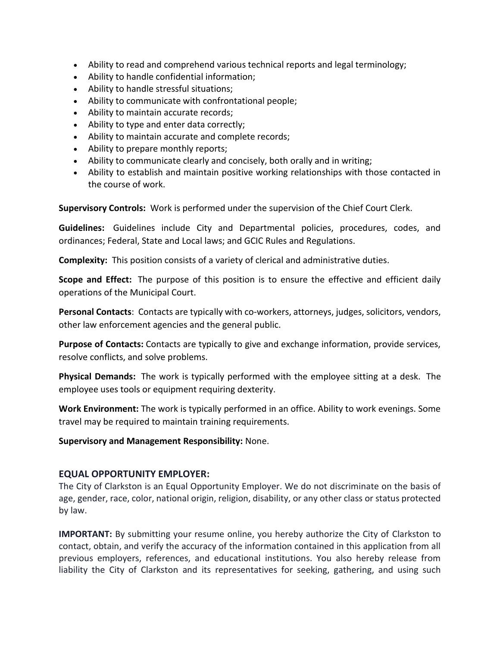- Ability to read and comprehend various technical reports and legal terminology;
- Ability to handle confidential information;
- Ability to handle stressful situations;
- Ability to communicate with confrontational people;
- Ability to maintain accurate records;
- Ability to type and enter data correctly;
- Ability to maintain accurate and complete records;
- Ability to prepare monthly reports;
- Ability to communicate clearly and concisely, both orally and in writing;
- Ability to establish and maintain positive working relationships with those contacted in the course of work.

**Supervisory Controls:** Work is performed under the supervision of the Chief Court Clerk.

**Guidelines:** Guidelines include City and Departmental policies, procedures, codes, and ordinances; Federal, State and Local laws; and GCIC Rules and Regulations.

**Complexity:** This position consists of a variety of clerical and administrative duties.

**Scope and Effect:** The purpose of this position is to ensure the effective and efficient daily operations of the Municipal Court.

**Personal Contacts**: Contacts are typically with co-workers, attorneys, judges, solicitors, vendors, other law enforcement agencies and the general public.

**Purpose of Contacts:** Contacts are typically to give and exchange information, provide services, resolve conflicts, and solve problems.

**Physical Demands:** The work is typically performed with the employee sitting at a desk. The employee uses tools or equipment requiring dexterity.

**Work Environment:** The work is typically performed in an office. Ability to work evenings. Some travel may be required to maintain training requirements.

#### **Supervisory and Management Responsibility:** None.

#### **EQUAL OPPORTUNITY EMPLOYER:**

The City of Clarkston is an Equal Opportunity Employer. We do not discriminate on the basis of age, gender, race, color, national origin, religion, disability, or any other class or status protected by law.

**IMPORTANT:** By submitting your resume online, you hereby authorize the City of Clarkston to contact, obtain, and verify the accuracy of the information contained in this application from all previous employers, references, and educational institutions. You also hereby release from liability the City of Clarkston and its representatives for seeking, gathering, and using such